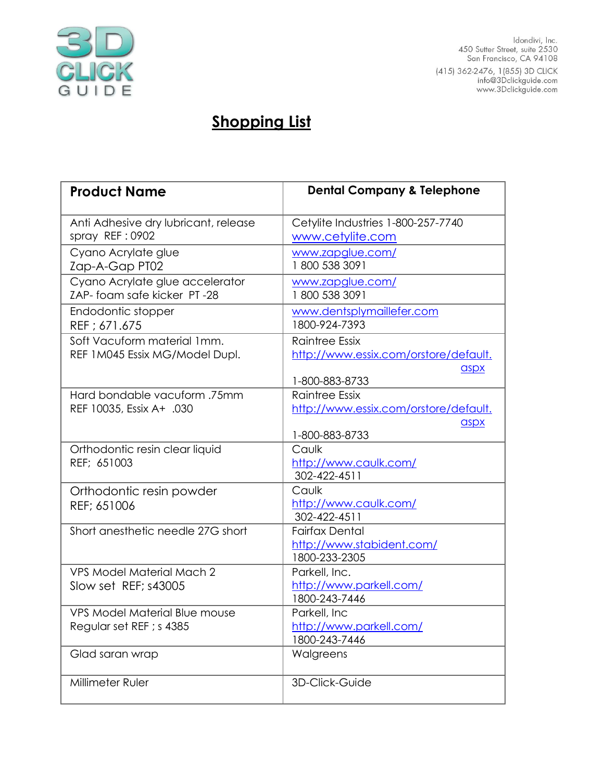

ldondivi, Inc.<br>450 Sutter Street, suite 2530<br>San Francisco, CA 94108 415) 362-2476, 1(855) 3D CLICK<br>info@3Dclickguide.com<br>www.3Dclickguide.com

## **Shopping List**

| <b>Product Name</b>                                              | <b>Dental Company &amp; Telephone</b>                                                    |
|------------------------------------------------------------------|------------------------------------------------------------------------------------------|
| Anti Adhesive dry lubricant, release<br>spray REF: 0902          | Cetylite Industries 1-800-257-7740<br>www.cetylite.com                                   |
| Cyano Acrylate glue<br>Zap-A-Gap PT02                            | www.zapglue.com/<br>1800 538 3091                                                        |
| Cyano Acrylate glue accelerator<br>ZAP-foam safe kicker PT-28    | www.zapglue.com/<br>1800 538 3091                                                        |
| Endodontic stopper<br>REF; 671.675                               | www.dentsplymaillefer.com<br>1800-924-7393                                               |
| Soft Vacuform material 1mm.<br>REF 1M045 Essix MG/Model Dupl.    | <b>Raintree Essix</b><br>http://www.essix.com/orstore/default.<br>aspx<br>1-800-883-8733 |
| Hard bondable vacuform .75mm<br>REF 10035, Essix A+ .030         | <b>Raintree Essix</b><br>http://www.essix.com/orstore/default.<br>aspx<br>1-800-883-8733 |
| Orthodontic resin clear liquid<br>REF: 651003                    | Caulk<br>http://www.caulk.com/<br>302-422-4511                                           |
| Orthodontic resin powder<br>REF; 651006                          | Caulk<br>http://www.caulk.com/<br>302-422-4511                                           |
| Short anesthetic needle 27G short                                | <b>Fairfax Dental</b><br>http://www.stabident.com/<br>1800-233-2305                      |
| <b>VPS Model Material Mach 2</b><br>Slow set REF; s43005         | Parkell, Inc.<br>http://www.parkell.com/<br>1800-243-7446                                |
| <b>VPS Model Material Blue mouse</b><br>Regular set REF ; s 4385 | Parkell, Inc<br>http://www.parkell.com/<br>1800-243-7446                                 |
| Glad saran wrap                                                  | Walgreens                                                                                |
| Millimeter Ruler                                                 | 3D-Click-Guide                                                                           |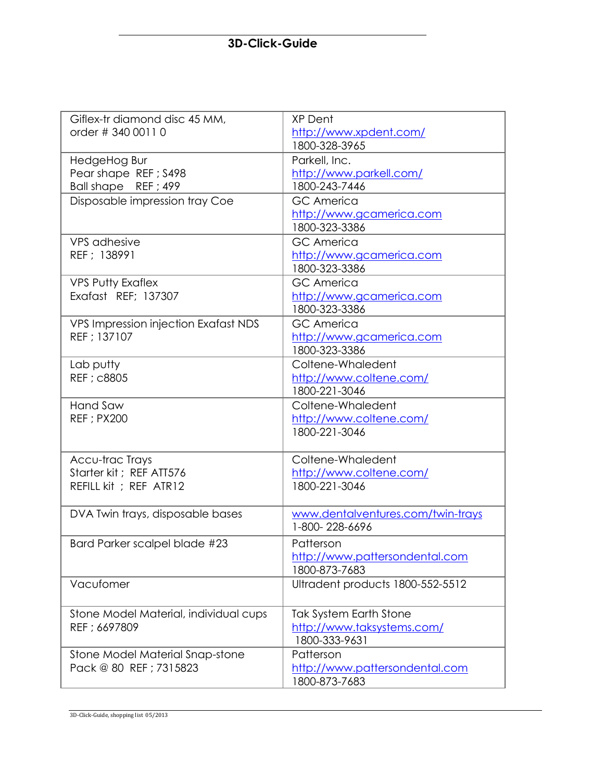## **3D-Click-Guide**

| Giflex-tr diamond disc 45 MM,         | <b>XP Dent</b>                    |
|---------------------------------------|-----------------------------------|
| order # 340 0011 0                    | http://www.xpdent.com/            |
|                                       | 1800-328-3965                     |
| HedgeHog Bur                          | Parkell, Inc.                     |
| Pear shape REF; S498                  | http://www.parkell.com/           |
| Ball shape REF; 499                   | 1800-243-7446                     |
| Disposable impression tray Coe        | <b>GC</b> America                 |
|                                       | http://www.gcamerica.com          |
|                                       | 1800-323-3386                     |
| <b>VPS</b> adhesive                   | <b>GC</b> America                 |
| REF ; 138991                          | http://www.gcamerica.com          |
|                                       | 1800-323-3386                     |
| <b>VPS Putty Exaflex</b>              | <b>GC</b> America                 |
| Exafast REF; 137307                   | http://www.gcamerica.com          |
|                                       | 1800-323-3386                     |
| VPS Impression injection Exafast NDS  | <b>GC America</b>                 |
| REF : 137107                          | http://www.gcamerica.com          |
|                                       | 1800-323-3386                     |
| Lab putty                             | Coltene-Whaledent                 |
| REF ; c8805                           | http://www.coltene.com/           |
|                                       | 1800-221-3046                     |
| Hand Saw                              | Coltene-Whaledent                 |
| <b>REF</b> ; PX200                    | http://www.coltene.com/           |
|                                       | 1800-221-3046                     |
|                                       |                                   |
| Accu-trac Trays                       | Coltene-Whaledent                 |
| Starter kit; REF ATT576               | http://www.coltene.com/           |
| REFILL kit ; REF ATR12                | 1800-221-3046                     |
|                                       |                                   |
| DVA Twin trays, disposable bases      | www.dentalventures.com/twin-trays |
|                                       | 1-800-228-6696                    |
| Bard Parker scalpel blade #23         | Patterson                         |
|                                       | http://www.pattersondental.com    |
|                                       | 1800-873-7683                     |
| Vacufomer                             | Ultradent products 1800-552-5512  |
|                                       |                                   |
| Stone Model Material, individual cups | <b>Tak System Earth Stone</b>     |
| REF ; 6697809                         | http://www.taksystems.com/        |
|                                       | 1800-333-9631                     |
| Stone Model Material Snap-stone       | Patterson                         |
| Pack @ 80 REF ; 7315823               | http://www.pattersondental.com    |
|                                       | 1800-873-7683                     |